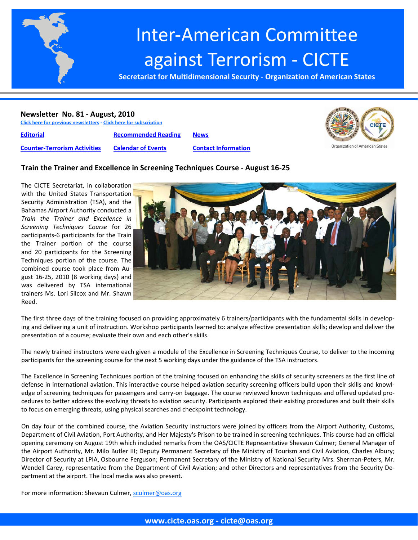

# Inter‐American Committee against Terrorism ‐ CICTE

**Secretariat for Multidimensional Security ‐ Organization of American States**

#### **Newsletter No. 81 ‐ August, 2010**

**Click here for previous [newsletters](http://www.cicte.oas.org/Rev/en/About/Newsletters/Default.asp) ‐ Click here for [subscription](www.cicte.oas.org)**

**[Editorial](#page-1-0) [Recommended](#page-4-0) Reading [News](#page-7-0)**

**Counter‐[Terrorism](#page-2-0) Activities [Calendar](#page-6-0) of Events Contact [Information](#page-10-0)**



#### **Train the Trainer and Excellence in Screening Techniques Course ‐ August 16‐25**

The CICTE Secretariat, in collaboration with the United States Transportation Security Administration (TSA), and the Bahamas Airport Authority conducted a *Train the Trainer and Excellence in Screening Techniques Course* for 26 participants‐6 participants for the Train the Trainer portion of the course and 20 participants for the Screening Techniques portion of the course. The combined course took place from Au‐ gust 16‐25, 2010 (8 working days) and was delivered by TSA international trainers Ms. Lori Silcox and Mr. Shawn Reed.



The first three days of the training focused on providing approximately 6 trainers/participants with the fundamental skills in develop‐ ing and delivering a unit of instruction. Workshop participants learned to: analyze effective presentation skills; develop and deliver the presentation of a course; evaluate their own and each other's skills.

The newly trained instructors were each given a module of the Excellence in Screening Techniques Course, to deliver to the incoming participants for the screening course for the next 5 working days under the guidance of the TSA instructors.

The Excellence in Screening Techniques portion of the training focused on enhancing the skills of security screeners as the first line of defense in international aviation. This interactive course helped aviation security screening officers build upon their skills and knowledge of screening techniques for passengers and carry-on baggage. The course reviewed known techniques and offered updated procedures to better address the evolving threats to aviation security. Participants explored their existing procedures and built their skills to focus on emerging threats, using physical searches and checkpoint technology.

On day four of the combined course, the Aviation Security Instructors were joined by officers from the Airport Authority, Customs, Department of Civil Aviation, Port Authority, and Her Majesty's Prison to be trained in screening techniques. This course had an official opening ceremony on August 19th which included remarks from the OAS/CICTE Representative Shevaun Culmer; General Manager of the Airport Authority, Mr. Milo Butler III; Deputy Permanent Secretary of the Ministry of Tourism and Civil Aviation, Charles Albury; Director of Security at LPIA, Osbourne Ferguson; Permanent Secretary of the Ministry of National Security Mrs. Sherman‐Peters, Mr. Wendell Carey, representative from the Department of Civil Aviation; and other Directors and representatives from the Security De‐ partment at the airport. The local media was also present.

For more information: Shevaun Culmer, sculmer@oas.org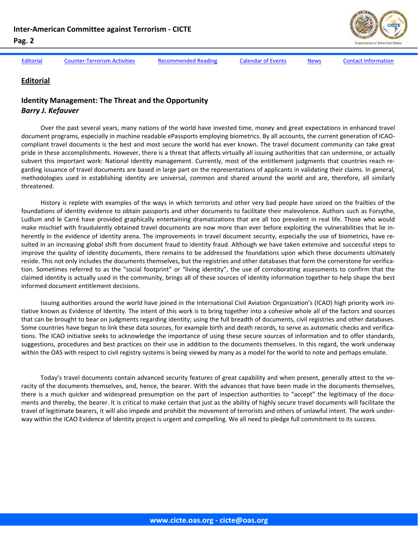<span id="page-1-0"></span>

Editorial Counter-[Terrorism](#page-2-0) Activities [Recommended](#page-4-0) Reading [Calendar](#page-6-0) of Events [News](#page-7-0) Contact [Information](#page-10-0)

#### **Editorial**

### **Identity Management: The Threat and the Opportunity** *Barry J. Kefauver*

Over the past several years, many nations of the world have invested time, money and great expectations in enhanced travel document programs, especially in machine readable ePassports employing biometrics. By all accounts, the current generation of ICAO‐ compliant travel documents is the best and most secure the world has ever known. The travel document community can take great pride in these accomplishments. However, there is a threat that affects virtually all issuing authorities that can undermine, or actually subvert this important work: National identity management. Currently, most of the entitlement judgments that countries reach regarding issuance of travel documents are based in large part on the representations of applicants in validating their claims. In general, methodologies used in establishing identity are universal, common and shared around the world and are, therefore, all similarly threatened.

History is replete with examples of the ways in which terrorists and other very bad people have seized on the frailties of the foundations of identity evidence to obtain passports and other documents to facilitate their malevolence. Authors such as Forsythe, Ludlum and le Carré have provided graphically entertaining dramatizations that are all too prevalent in real life. Those who would make mischief with fraudulently obtained travel documents are now more than ever before exploiting the vulnerabilities that lie inherently in the evidence of identity arena. The improvements in travel document security, especially the use of biometrics, have resulted in an increasing global shift from document fraud to identity fraud. Although we have taken extensive and successful steps to improve the quality of identity documents, there remains to be addressed the foundations upon which these documents ultimately reside. This not only includes the documents themselves, but the registries and other databases that form the cornerstone for verification. Sometimes referred to as the "social footprint" or "living identity", the use of corroborating assessments to confirm that the claimed identity is actually used in the community, brings all of these sources of identity information together to help shape the best informed document entitlement decisions.

Issuing authorities around the world have joined in the International Civil Aviation Organization's (ICAO) high priority work ini‐ tiative known as Evidence of Identity. The intent of this work is to bring together into a cohesive whole all of the factors and sources that can be brought to bear on judgments regarding identity; using the full breadth of documents, civil registries and other databases. Some countries have begun to link these data sources, for example birth and death records, to serve as automatic checks and verifications. The ICAO initiative seeks to acknowledge the importance of using these secure sources of information and to offer standards, suggestions, procedures and best practices on their use in addition to the documents themselves. In this regard, the work underway within the OAS with respect to civil registry systems is being viewed by many as a model for the world to note and perhaps emulate.

Today's travel documents contain advanced security features of great capability and when present, generally attest to the ve‐ racity of the documents themselves, and, hence, the bearer. With the advances that have been made in the documents themselves, there is a much quicker and widespread presumption on the part of inspection authorities to "accept" the legitimacy of the documents and thereby, the bearer. It is critical to make certain that just as the ability of highly secure travel documents will facilitate the travel of legitimate bearers, it will also impede and prohibit the movement of terrorists and others of unlawful intent. The work under‐ way within the ICAO Evidence of Identity project is urgent and compelling. We all need to pledge full commitment to its success.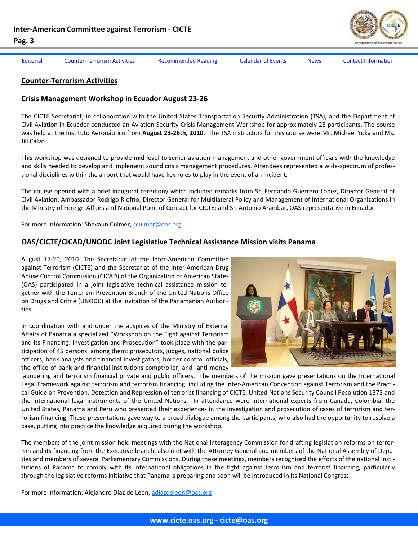<span id="page-2-0"></span>

[Editorial](#page-1-0) Counter-Terrorism Activities [Recommended](#page-4-0) Reading [Calendar](#page-6-0) of Events [News](#page-7-0) Contact [Information](#page-10-0)

#### **Counter‐Terrorism Activities**

#### **Crisis Management Workshop in Ecuador August 23‐26**

The CICTE Secretariat, in collaboration with the United States Transportation Security Administration (TSA), and the Department of Civil Aviation in Ecuador conducted an Aviation Security Crisis Management Workshop for approximately 28 participants. The course was held at the Instituto Aeronáutico from **August 23‐26th, 2010**. The TSA instructors for this course were Mr. Michael Yoka and Ms. Jill Calvo.

This workshop was designed to provide mid-level to senior aviation-management and other government officials with the knowledge and skills needed to develop and implement sound crisis management procedures. Attendees represented a wide-spectrum of professional disciplines within the airport that would have key roles to play in the event of an incident.

The course opened with a brief inaugural ceremony which included remarks from Sr. Fernando Guerrero Lopez, Director General of Civil Aviation; Ambassador Rodrigo Riofrío, Director General for Multilateral Policy and Management of International Organizations in the Ministry of Foreign Affairs and National Point of Contact for CICTE; and Sr. Antonio Aranibar, OAS representative in Ecuador.

For more information: Shevaun Culmer, sculmer@oas.org

#### **OAS/CICTE/CICAD/UNODC Joint Legislative Technical Assistance Mission visits Panama**

August 17‐20, 2010. The Secretariat of the Inter‐American Committee against Terrorism (CICTE) and the Secretariat of the Inter‐American Drug Abuse Control Commission (CICAD) of the Organization of American States (OAS) participated in a joint legislative technical assistance mission to‐ gether with the Terrorism Prevention Branch of the United Nations Office on Drugs and Crime (UNODC) at the invitation of the Panamanian Authori‐ ties.

In coordination with and under the auspices of the Ministry of External Affairs of Panama a specialized "Workshop on the Fight against Terrorism and its Financing: Investigation and Prosecution" took place with the par‐ ticipation of 45 persons, among them: prosecutors, judges, national police officers, bank analysts and financial investigators, border control officials, the office of bank and financial institutions comptroller, and anti money



laundering and terrorism financial private and public officers. The members of the mission gave presentations on the International Legal Framework against terrorism and terrorism financing, including the Inter‐American Convention against Terrorism and the Practi‐ cal Guide on Prevention, Detection and Repression of terrorist financing of CICTE; United Nations Security Council Resolution 1373 and the international legal instruments of the United Nations. In attendance were international experts from Canada, Colombia, the United States, Panama and Peru who presented their experiences in the investigation and prosecution of cases of terrorism and ter‐ rorism financing. These presentations gave way to a broad dialogue among the participants, who also had the opportunity to resolve a case, putting into practice the knowledge acquired during the workshop.

The members of the joint mission held meetings with the National Interagency Commission for drafting legislation reforms on terror‐ ism and its financing from the Executive branch; also met with the Attorney General and members of the National Assembly of Depu‐ ties and members of several Parliamentary Commissions. During these meetings, members recognized the efforts of the national institutions of Panama to comply with its international obligations in the fight against terrorism and terrorist financing, particularly through the legislative reforms initiative that Panama is preparing and soon will be introduced in its National Congress.

For more information: Alejandro Diaz de Leon, adiazdeleon@oas.org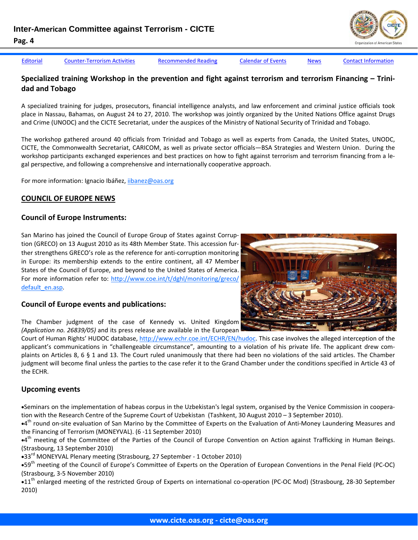[Editorial](#page-1-0) Counter-[Terrorism](#page-2-0) Activities [Recommended](#page-4-0) Reading [Calendar](#page-6-0) of Events [News](#page-7-0) Contact [Information](#page-10-0)

### **Specialized training Workshop in the prevention and fight against terrorism and terrorism Financing – Trini‐ dad and Tobago**

A specialized training for judges, prosecutors, financial intelligence analysts, and law enforcement and criminal justice officials took place in Nassau, Bahamas, on August 24 to 27, 2010. The workshop was jointly organized by the United Nations Office against Drugs and Crime (UNODC) and the CICTE Secretariat, under the auspices of the Ministry of National Security of Trinidad and Tobago.

The workshop gathered around 40 officials from Trinidad and Tobago as well as experts from Canada, the United States, UNODC, CICTE, the Commonwealth Secretariat, CARICOM, as well as private sector officials—BSA Strategies and Western Union. During the workshop participants exchanged experiences and best practices on how to fight against terrorism and terrorism financing from a legal perspective, and following a comprehensive and internationally cooperative approach.

For more information: Ignacio Ibáñez, iibanez@oas.org

### **COUNCIL OF EUROPE NEWS**

#### **Council of Europe Instruments:**

San Marino has joined the Council of Europe Group of States against Corrup‐ tion (GRECO) on 13 August 2010 as its 48th Member State. This accession fur‐ ther strengthens GRECO's role as the reference for anti‐corruption monitoring in Europe: its membership extends to the entire continent, all 47 Member States of the Council of Europe, and beyond to the United States of America. For more information refer to: http://www.coe.int/t/dghl/monitoring/greco/ default\_en.asp.



#### **Council of Europe events and publications:**

The Chamber judgment of the case of Kennedy vs. United Kingdom *(Application no. 26839/05)* and its press release are available in the European

Court of Human Rights' HUDOC database, http://www.echr.coe.int/ECHR/EN/hudoc. This case involves the alleged interception of the applicant's communications in "challengeable circumstance", amounting to a violation of his private life. The applicant drew complaints on Articles 8, 6 § 1 and 13. The Court ruled unanimously that there had been no violations of the said articles. The Chamber judgment will become final unless the parties to the case refer it to the Grand Chamber under the conditions specified in Article 43 of the ECHR.

#### **Upcoming events**

•Seminars on the implementation of habeas corpus in the Uzbekistan's legal system, organised by the Venice Commission in coopera‐ tion with the Research Centre of the Supreme Court of Uzbekistan (Tashkent, 30 August 2010 – 3 September 2010).

•4<sup>th</sup> round on-site evaluation of San Marino by the Committee of Experts on the Evaluation of Anti-Money Laundering Measures and the Financing of Terrorism (MONEYVAL). (6 ‐11 September 2010)

 $\bullet$ 4<sup>th</sup> meeting of the Committee of the Parties of the Council of Europe Convention on Action against Trafficking in Human Beings. (Strasbourg, 13 September 2010)

•33<sup>rd</sup> MONEYVAL Plenary meeting (Strasbourg, 27 September - 1 October 2010)

•59<sup>th</sup> meeting of the Council of Europe's Committee of Experts on the Operation of European Conventions in the Penal Field (PC-OC) (Strasbourg, 3‐5 November 2010)

•11<sup>th</sup> enlarged meeting of the restricted Group of Experts on international co-operation (PC-OC Mod) (Strasbourg, 28-30 September 2010)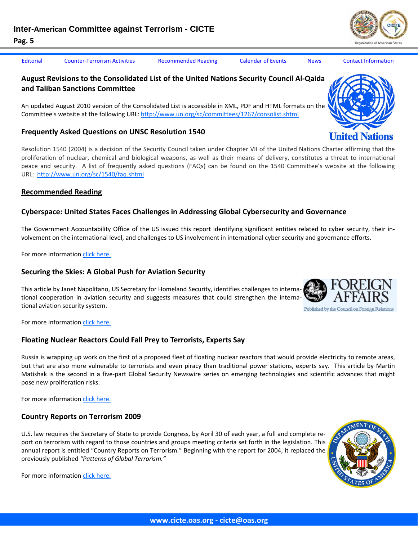<span id="page-4-0"></span>

[Editorial](#page-1-0) Counter-[Terrorism](#page-2-0) Activities Recommended Reading [Calendar](#page-6-0) of Events [News](#page-7-0) Contact [Information](#page-10-0)

# **August Revisions to the Consolidated List of the United Nations Security Council Al‐Qaida and Taliban Sanctions Committee**

An updated August 2010 version of the Consolidated List is accessible in XML, PDF and HTML formats on the Committee's website at the following URL: http://www.un.org/sc/committees/1267/consolist.shtml

#### **Frequently Asked Questions on UNSC Resolution 1540**

Resolution 1540 (2004) is a decision of the Security Council taken under Chapter VII of the United Nations Charter affirming that the proliferation of nuclear, chemical and biological weapons, as well as their means of delivery, constitutes a threat to international peace and security. A list of frequently asked questions (FAQs) can be found on the 1540 Committee's website at the following URL: http://www.un.org/sc/1540/faq.shtml

### **Recommended Reading**

# **Cyberspace: United States Faces Challenges in Addressing Global Cybersecurity and Governance**

The Government Accountability Office of the US issued this report identifying significant entities related to cyber security, their in‐ volvement on the international level, and challenges to US involvement in international cyber security and governance efforts.

For more information click [here.](http://www.gao.gov/Products/GAO-10-606)

#### **Securing the Skies: A Global Push for Aviation Security**

This article by Janet Napolitano, US Secretary for Homeland Security, identifies challenges to interna‐ tional cooperation in aviation security and suggests measures that could strengthen the interna‐ tional aviation security system.

For more information click [here.](http://www.foreignaffairs.com/articles/66505/janet-napolitano/securing-the-skies)

# **Floating Nuclear Reactors Could Fall Prey to Terrorists, Experts Say**

Russia is wrapping up work on the first of a proposed fleet of floating nuclear reactors that would provide electricity to remote areas, but that are also more vulnerable to terrorists and even piracy than traditional power stations, experts say. This article by Martin Matishak is the second in a five‐part Global Security Newswire series on emerging technologies and scientific advances that might pose new proliferation risks.

For more information click [here.](http://gsn.nti.org/gsn/nw_20100806_6549.php)

# **Country Reports on Terrorism 2009**

U.S. law requires the Secretary of State to provide Congress, by April 30 of each year, a full and complete re‐ port on terrorism with regard to those countries and groups meeting criteria set forth in the legislation. This annual report is entitled "Country Reports on Terrorism." Beginning with the report for 2004, it replaced the previously published *"Patterns of Global Terrorism."* 

For more information click [here.](http://www.state.gov/s/ct/rls/crt/2009/index.htm)





**United Nations** 





Published by the Council on Foreign Relations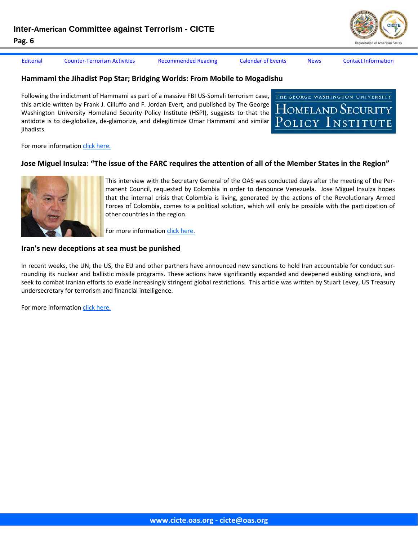[Editorial](#page-1-0) Counter-[Terrorism](#page-2-0) Activities [Recommended](#page-4-0) Reading [Calendar](#page-6-0) of Events [News](#page-7-0) Contact [Information](#page-10-0)

#### **Hammami the Jihadist Pop Star; Bridging Worlds: From Mobile to Mogadishu**

Following the indictment of Hammami as part of a massive FBI US‐Somali terrorism case, this article written by Frank J. Cilluffo and F. Jordan Evert, and published by The George Washington University Homeland Security Policy Institute (HSPI), suggests to that the antidote is to de‐globalize, de‐glamorize, and delegitimize Omar Hammami and similar jihadists.



For more information click [here.](http://www.gwumc.edu/hspi/policy/commentary15_Hammami.pdf)

#### Jose Miguel Insulza: "The issue of the FARC requires the attention of all of the Member States in the Region"



This interview with the Secretary General of the OAS was conducted days after the meeting of the Per‐ manent Council, requested by Colombia in order to denounce Venezuela. Jose Miguel Insulza hopes that the internal crisis that Colombia is living, generated by the actions of the Revolutionary Armed Forces of Colombia, comes to a political solution, which will only be possible with the participation of other countries in the region.

For more information click [here.](http://www.eluniverso.com/2010/08/08/1/1355/jose-miguel-insulza-el-tema-farc-necesita-todos-paises-miembros-region.html?p=1354&m=27)

#### **Iran's new deceptions at sea must be punished**

In recent weeks, the UN, the US, the EU and other partners have announced new sanctions to hold Iran accountable for conduct surrounding its nuclear and ballistic missile programs. These actions have significantly expanded and deepened existing sanctions, and seek to combat Iranian efforts to evade increasingly stringent global restrictions. This article was written by Stuart Levey, US Treasury undersecretary for terrorism and financial intelligence.

For more information click [here.](http://www.ft.com/cms/s/0/d09260fc-a89c-11df-86dd-00144feabdc0.html)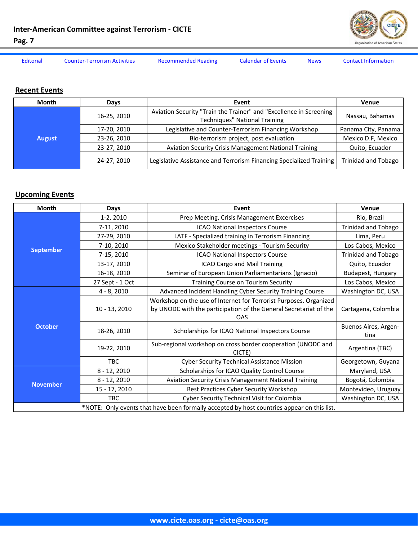

<span id="page-6-0"></span>

[Editorial](#page-1-0) Counter-[Terrorism](#page-2-0) Activities [Recommended](#page-4-0) Reading Calendar of Events [News](#page-7-0) Contact [Information](#page-10-0)

# **Recent Events**

| <b>Month</b>  | Days        | Event                                                                                                      | <b>Venue</b>               |
|---------------|-------------|------------------------------------------------------------------------------------------------------------|----------------------------|
| <b>August</b> | 16-25, 2010 | Aviation Security "Train the Trainer" and "Excellence in Screening<br><b>Techniques" National Training</b> | Nassau, Bahamas            |
|               | 17-20, 2010 | Legislative and Counter-Terrorism Financing Workshop                                                       | Panama City, Panama        |
|               | 23-26, 2010 | Bio-terrorism project, post evaluation                                                                     | Mexico D.F, Mexico         |
|               | 23-27, 2010 | <b>Aviation Security Crisis Management National Training</b>                                               | Quito, Ecuador             |
|               | 24-27, 2010 | Legislative Assistance and Terrorism Financing Specialized Training                                        | <b>Trinidad and Tobago</b> |

# **Upcoming Events**

| Month                                                                                      | Days            | Event                                                                                                                                                | Venue                        |  |
|--------------------------------------------------------------------------------------------|-----------------|------------------------------------------------------------------------------------------------------------------------------------------------------|------------------------------|--|
| <b>September</b>                                                                           | $1-2, 2010$     | Prep Meeting, Crisis Management Excercises                                                                                                           | Rio, Brazil                  |  |
|                                                                                            | 7-11, 2010      | <b>ICAO National Inspectors Course</b>                                                                                                               | <b>Trinidad and Tobago</b>   |  |
|                                                                                            | 27-29, 2010     | LATF - Specialized training in Terrorism Financing                                                                                                   | Lima, Peru                   |  |
|                                                                                            | 7-10, 2010      | Mexico Stakeholder meetings - Tourism Security                                                                                                       | Los Cabos, Mexico            |  |
|                                                                                            | 7-15, 2010      | ICAO National Inspectors Course                                                                                                                      | <b>Trinidad and Tobago</b>   |  |
|                                                                                            | 13-17, 2010     | ICAO Cargo and Mail Training                                                                                                                         | Quito, Ecuador               |  |
|                                                                                            | 16-18, 2010     | Seminar of European Union Parliamentarians (Ignacio)                                                                                                 | Budapest, Hungary            |  |
|                                                                                            | 27 Sept - 1 Oct | Training Course on Tourism Security                                                                                                                  | Los Cabos, Mexico            |  |
| <b>October</b>                                                                             | $4 - 8, 2010$   | Advanced Incident Handling Cyber Security Training Course                                                                                            | Washington DC, USA           |  |
|                                                                                            | $10 - 13, 2010$ | Workshop on the use of Internet for Terrorist Purposes. Organized<br>by UNODC with the participation of the General Secretariat of the<br><b>OAS</b> | Cartagena, Colombia          |  |
|                                                                                            | 18-26, 2010     | Scholarships for ICAO National Inspectors Course                                                                                                     | Buenos Aires, Argen-<br>tina |  |
|                                                                                            | 19-22, 2010     | Sub-regional workshop on cross border cooperation (UNODC and<br>CICTE)                                                                               | Argentina (TBC)              |  |
|                                                                                            | <b>TBC</b>      | Cyber Security Technical Assistance Mission                                                                                                          | Georgetown, Guyana           |  |
| <b>November</b>                                                                            | $8 - 12, 2010$  | Scholarships for ICAO Quality Control Course                                                                                                         | Maryland, USA                |  |
|                                                                                            | $8 - 12, 2010$  | <b>Aviation Security Crisis Management National Training</b>                                                                                         | Bogotá, Colombia             |  |
|                                                                                            | 15 - 17, 2010   | Best Practices Cyber Security Workshop                                                                                                               | Montevideo, Uruguay          |  |
|                                                                                            | <b>TBC</b>      | Cyber Security Technical Visit for Colombia                                                                                                          | Washington DC, USA           |  |
| *NOTE: Only events that have been formally accepted by host countries appear on this list. |                 |                                                                                                                                                      |                              |  |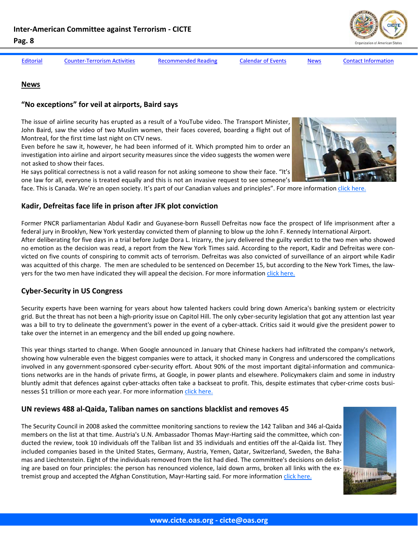**"No exceptions" for veil at airports, Baird says**

Montreal, for the first time last night on CTV news.

not asked to show their faces.

<span id="page-7-0"></span>**Pag. 8** 

**News**

[Editorial](#page-1-0) Counter-[Terrorism](#page-2-0) Activities [Recommended](#page-4-0) Reading [Calendar](#page-6-0) of Events News Contact [Information](#page-10-0)

The Security Council in 2008 asked the committee monitoring sanctions to review the 142 Taliban and 346 al‐Qaida

### **Kadir, Defreitas face life in prison after JFK plot conviction**

Former PNCR parliamentarian Abdul Kadir and Guyanese-born Russell Defreitas now face the prospect of life imprisonment after a federal jury in Brooklyn, New York yesterday convicted them of planning to blow up the John F. Kennedy International Airport. After deliberating for five days in a trial before Judge Dora L. Irizarry, the jury delivered the guilty verdict to the two men who showed no emotion as the decision was read, a report from the New York Times said. According to the report, Kadir and Defreitas were convicted on five counts of conspiring to commit acts of terrorism. Defreitas was also convicted of surveillance of an airport while Kadir

face. This is Canada. We're an open society. It's part of our Canadian values and principles". For more information click [here.](http://www.theglobeandmail.com/news/politics/ottawa-notebook/no-exceptions-for-veil-at-airports-baird-says/article1660127/)

was acquitted of this charge. The men are scheduled to be sentenced on December 15, but according to the New York Times, the lawyers for the two men have indicated they will appeal the decision. For more information click [here.](http://www.stabroeknews.com/2010/stories/08/03/kadir-defreitas-face-life-in-prison-after-jfk-plot-conviction/)

# **Cyber‐Security in US Congress**

Security experts have been warning for years about how talented hackers could bring down America's banking system or electricity grid. But the threat has not been a high‐priority issue on Capitol Hill. The only cyber‐security legislation that got any attention last year was a bill to try to delineate the government's power in the event of a cyber-attack. Critics said it would give the president power to take over the internet in an emergency and the bill ended up going nowhere.

This year things started to change. When Google announced in January that Chinese hackers had infiltrated the company's network, showing how vulnerable even the biggest companies were to attack, it shocked many in Congress and underscored the complications involved in any government-sponsored cyber-security effort. About 90% of the most important digital-information and communications networks are in the hands of private firms, at Google, in power plants and elsewhere. Policymakers claim and some in industry bluntly admit that defences against cyber-attacks often take a backseat to profit. This, despite estimates that cyber-crime costs businesses \$1 trillion or more each year. For more information click [here.](http://www.economist.com/blogs/democracyinamerica/2010/08/cyber-security)

# **UN reviews 488 al‐Qaida, Taliban names on sanctions blacklist and removes 45**

members on the list at that time. Austria's U.N. Ambassador Thomas Mayr-Harting said the committee, which conducted the review, took 10 individuals off the Taliban list and 35 individuals and entities off the al‐Qaida list. They included companies based in the United States, Germany, Austria, Yemen, Qatar, Switzerland, Sweden, the Baha‐ mas and Liechtenstein. Eight of the individuals removed from the list had died. The committee's decisions on delisting are based on four principles: the person has renounced violence, laid down arms, broken all links with the extremist group and accepted the Afghan Constitution, Mayr-Harting said. For more information click [here.](http://www.newser.com/article/d9hbjh602/un-reviews-488-al-qaida-taliban-names-on-sanctions-blacklist-and-removes-45.html)



delittiin

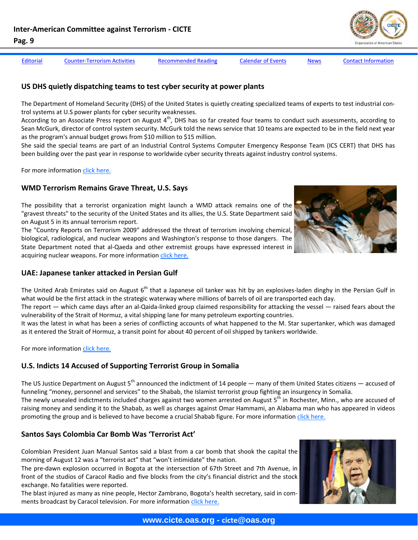[Editorial](#page-1-0) Counter-[Terrorism](#page-2-0) Activities [Recommended](#page-4-0) Reading [Calendar](#page-6-0) of Events [News](#page-7-0) Contact [Information](#page-10-0)

#### **US DHS quietly dispatching teams to test cyber security at power plants**

The Department of Homeland Security (DHS) of the United States is quietly creating specialized teams of experts to test industrial con‐ trol systems at U.S power plants for cyber security weaknesses.

According to an Associate Press report on August  $4<sup>th</sup>$ , DHS has so far created four teams to conduct such assessments, according to Sean McGurk, director of control system security. McGurk told the news service that 10 teams are expected to be in the field next year as the program's annual budget grows from \$10 million to \$15 million.

She said the special teams are part of an Industrial Control Systems Computer Emergency Response Team (ICS CERT) that DHS has been building over the past year in response to worldwide cyber security threats against industry control systems.

For more information click [here.](http://www.computerworld.com/s/article/9180152/DHS_quietly_dispatching_teams_to_test_power_plant_cybersecurity?taxonomyId=82)

#### **WMD Terrorism Remains Grave Threat, U.S. Says**

The possibility that a terrorist organization might launch a WMD attack remains one of the "gravest threats" to the security of the United States and its allies, the U.S. State Department said on August 5 in its annual terrorism report.

The "Country Reports on Terrorism 2009" addressed the threat of terrorism involving chemical, biological, radiological, and nuclear weapons and Washington's response to those dangers. The State Department noted that al‐Qaeda and other extremist groups have expressed interest in acquiring nuclear weapons. For more information click [here.](http://gsn.nti.org/gsn/nw_20100806_6521.php)



#### **UAE: Japanese tanker attacked in Persian Gulf**

The United Arab Emirates said on August 6<sup>th</sup> that a Japanese oil tanker was hit by an explosives-laden dinghy in the Persian Gulf in what would be the first attack in the strategic waterway where millions of barrels of oil are transported each day.

The report — which came days after an al-Qaida-linked group claimed responsibility for attacking the vessel — raised fears about the vulnerability of the Strait of Hormuz, a vital shipping lane for many petroleum exporting countries.

It was the latest in what has been a series of conflicting accounts of what happened to the M. Star supertanker, which was damaged as it entered the Strait of Hormuz, a transit point for about 40 percent of oil shipped by tankers worldwide.

For more information click [here.](http://www.google.com/hostednews/ap/article/ALeqM5ijprLX5wJOPvJeITBt9isdD-Ml6wD9HE6LDG1)

#### **U.S. Indicts 14 Accused of Supporting Terrorist Group in Somalia**

The US Justice Department on August  $5<sup>th</sup>$  announced the indictment of 14 people — many of them United States citizens — accused of funneling "money, personnel and services" to the Shabab, the Islamist terrorist group fighting an insurgency in Somalia.

The newly unsealed indictments included charges against two women arrested on August 5<sup>th</sup> in Rochester, Minn., who are accused of raising money and sending it to the Shabab, as well as charges against Omar Hammami, an Alabama man who has appeared in videos promoting the group and is believed to have become a crucial Shabab figure. For more information click [here.](http://www.nytimes.com/2010/08/06/us/06terror.html?_r=1&src=mv)

#### **Santos Says Colombia Car Bomb Was 'Terrorist Act'**

Colombian President Juan Manual Santos said a blast from a car bomb that shook the capital the morning of August 12 was a "terrorist act" that "won't intimidate" the nation.

The pre-dawn explosion occurred in Bogota at the intersection of 67th Street and 7th Avenue, in front of the studios of Caracol Radio and five blocks from the city's financial district and the stock exchange. No fatalities were reported.

The blast injured as many as nine people, Hector Zambrano, Bogota's health secretary, said in com‐ ments broadcast by Caracol television. For more information click [here.](http://www.businessweek.com/news/2010-08-12/santos-says-colombia-car-bomb-was-terrorist-act-.html)

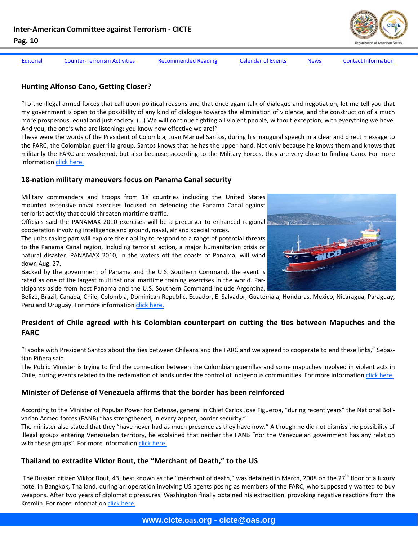

[Editorial](#page-1-0) Counter-[Terrorism](#page-2-0) Activities [Recommended](#page-4-0) Reading [Calendar](#page-6-0) of Events [News](#page-7-0) Contact [Information](#page-10-0)

#### **Hunting Alfonso Cano, Getting Closer?**

"To the illegal armed forces that call upon political reasons and that once again talk of dialogue and negotiation, let me tell you that my government is open to the possibility of any kind of dialogue towards the elimination of violence, and the construction of a much more prosperous, equal and just society. (…) We will continue fighting all violent people, without exception, with everything we have. And you, the one's who are listening; you know how effective we are!"

These were the words of the President of Colombia, Juan Manuel Santos, during his inaugural speech in a clear and direct message to the FARC, the Colombian guerrilla group. Santos knows that he has the upper hand. Not only because he knows them and knows that militarily the FARC are weakened, but also because, according to the Military Forces, they are very close to finding Cano. For more information click [here.](http://www.semana.com/noticias-nacion/caza-alfonso-cano-cada-vez-cerca/142862.aspx)

#### **18‐nation military maneuvers focus on Panama Canal security**

Military commanders and troops from 18 countries including the United States mounted extensive naval exercises focused on defending the Panama Canal against terrorist activity that could threaten maritime traffic.

Officials said the PANAMAX 2010 exercises will be a precursor to enhanced regional cooperation involving intelligence and ground, naval, air and special forces.

The units taking part will explore their ability to respond to a range of potential threats to the Panama Canal region, including terrorist action, a major humanitarian crisis or natural disaster. PANAMAX 2010, in the waters off the coasts of Panama, will wind down Aug. 27.

Backed by the government of Panama and the U.S. Southern Command, the event is rated as one of the largest multinational maritime training exercises in the world. Participants aside from host Panama and the U.S. Southern Command include Argentina,

Belize, Brazil, Canada, Chile, Colombia, Dominican Republic, Ecuador, El Salvador, Guatemala, Honduras, Mexico, Nicaragua, Paraguay, Peru and Uruguay. For more information click [here.](http://www.upi.com/Business_News/Security-Industry/2010/08/18/18-nation-military-maneuvers-focus-on-Panama-Canal-security/UPI-45921282166076/)

### **President of Chile agreed with his Colombian counterpart on cutting the ties between Mapuches and the FARC**

"I spoke with President Santos about the ties between Chileans and the FARC and we agreed to cooperate to end these links," Sebas‐ tian Piñera said.

The Public Minister is trying to find the connection between the Colombian guerrillas and some mapuches involved in violent acts in Chile, during events related to the reclamation of lands under the control of indigenous communities. For more information click [here.](http://www.eltiempo.com/colombia/politica/presidentes-de-chile-y-colombia-acuerdan-acabar-vinculos-entre-mapuches-y-las-farc_7866585-1)

#### **Minister of Defense of Venezuela affirms that the border has been reinforced**

According to the Minister of Popular Power for Defense, general in Chief Carlos José Figueroa, "during recent years" the National Boli‐ varian Armed forces (FANB) "has strengthened, in every aspect, border security."

The minister also stated that they "have never had as much presence as they have now." Although he did not dismiss the possibility of illegal groups entering Venezuelan territory, he explained that neither the FANB "nor the Venezuelan government has any relation with these groups". For more information click [here.](http://politica.eluniversal.com/2010/08/16/pol_art_ministro-de-defensa_2007516.shtml)

#### **Thailand to extradite Viktor Bout, the "Merchant of Death," to the US**

The Russian citizen Viktor Bout, 43, best known as the "merchant of death," was detained in March, 2008 on the  $27<sup>th</sup>$  floor of a luxury hotel in Bangkok, Thailand, during an operation involving US agents posing as members of the FARC, who supposedly wanted to buy weapons. After two years of diplomatic pressures, Washington finally obtained his extradition, provoking negative reactions from the Kremlin. For more information click [here.](http://www.eltiempo.com/mundo/otrasregiones/tailandia-extraditara-a-estados-unidos-al-mercader-de-la-muerte_7872145-1)